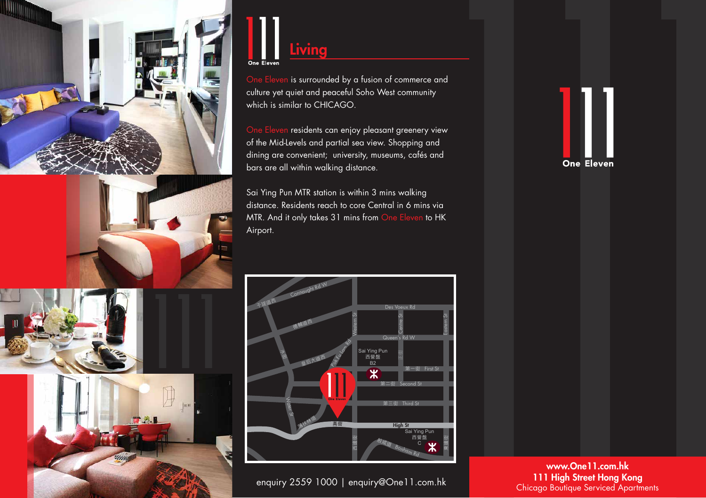

## Living One Eleven

One Eleven is surrounded by a fusion of commerce and culture yet quiet and peaceful Soho West community which is similar to CHICAGO.

One Eleven residents can enjoy pleasant greenery view of the Mid-Levels and partial sea view. Shopping and dining are convenient; university, museums, cafés and bars are all within walking distance.

Sai Ying Pun MTR station is within 3 mins walking distance. Residents reach to core Central in 6 mins via MTR. And it only takes 31 mins from One Eleven to HK Airport.





enquiry 2559 1000 | enquiry@One11.com.hk



www.One11.com.hk 111 High Street Hong Kong Chicago Boutique Serviced Apartments